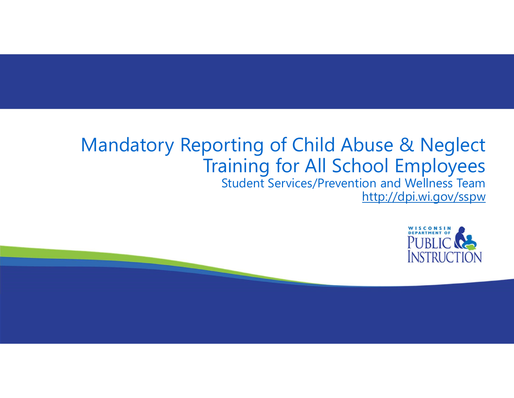# Mandatory Reporting of Child Abuse & Neglect Training for All School Employees

Student Services/Prevention and Wellness Team http://dpi.wi.gov/sspw

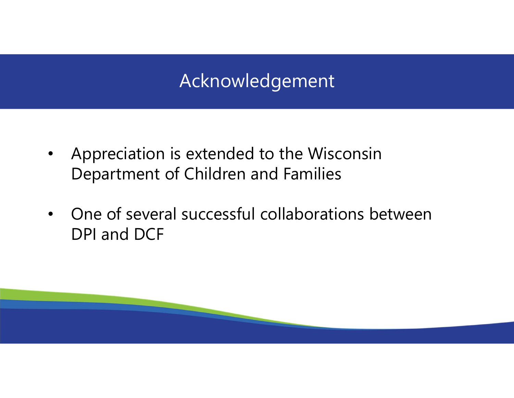## Acknowledgement

- Appreciation is extended to the Wisconsin Department of Children and Families
- One of several successful collaborations between DPI and DCF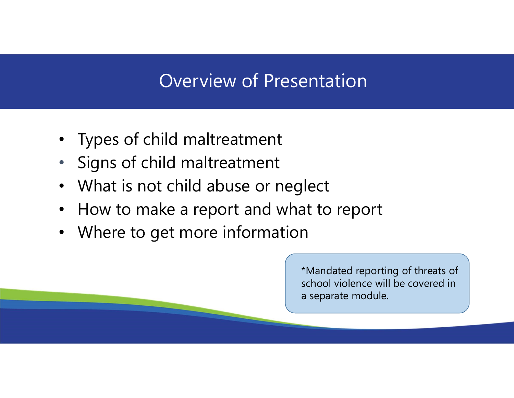#### Overview of Presentation

- Types of child maltreatment
- Signs of child maltreatment
- What is not child abuse or neglect
- How to make a report and what to report
- Where to get more information

\*Mandated reporting of threats of school violence will be covered in a separate module.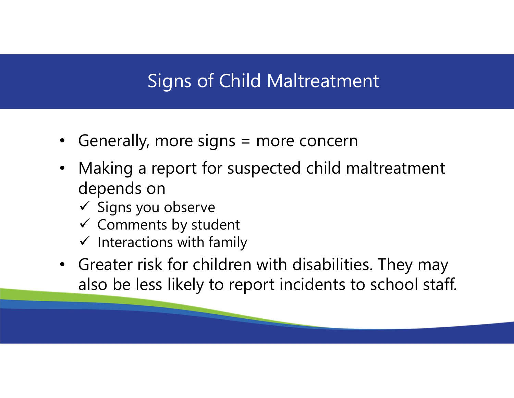## Signs of Child Maltreatment

- Generally, more signs = more concern
- Making a report for suspected child maltreatment depends on
	- $\checkmark$  Signs you observe
	- $\checkmark$  Comments by student
	- $\checkmark$  Interactions with family
- Greater risk for children with disabilities. They may also be less likely to report incidents to school staff.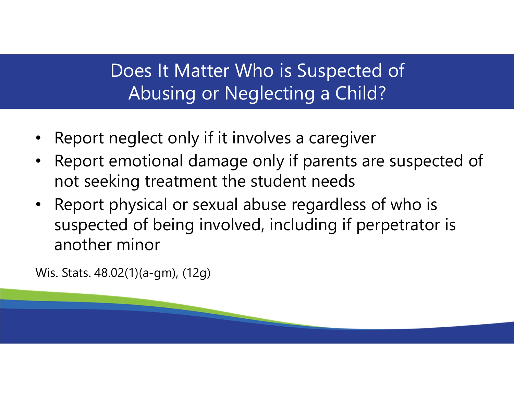## Does It Matter Who is Suspected of Abusing or Neglecting a Child?

- Report neglect only if it involves a caregiver
- Report emotional damage only if parents are suspected of not seeking treatment the student needs
- Report physical or sexual abuse regardless of who is suspected of being involved, including if perpetrator is another minor

Wis. Stats. 48.02(1)(a-gm), (12g)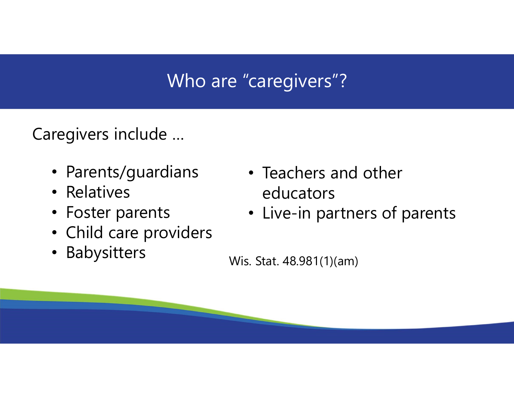# Who are "caregivers"?

Caregivers include …

- Parents/guardians
- Relatives
- Foster parents
- Child care providers
- Babysitters
- Teachers and other educators
- Live-in partners of parents

Wis. Stat. 48.981(1)(am)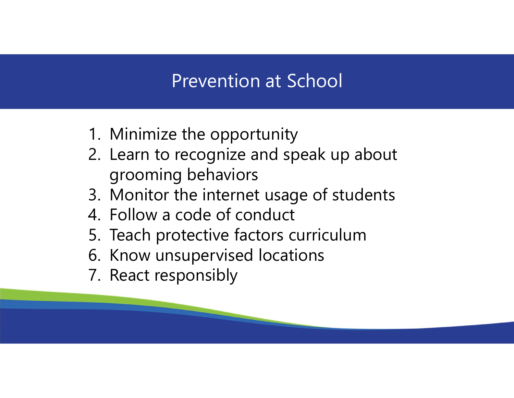#### Prevention at School

- 
- Prevention at School<br>1. Minimize the opportunity<br>2. Learn to recognize and speak up abour<br>arooming behaviors Prevention at School<br>2. Learn to recognize and speak up about<br>2. Learn to recognize and speak up about<br>3. Monitor the internet usage of students grooming behaviors Prevention at School<br>1. Minimize the opportunity<br>2. Learn to recognize and speak up about<br>grooming behaviors<br>3. Monitor the internet usage of students<br>4. Follow a code of conduct<br>5. Teach protective factors curriculum Prevention at School<br>1. Minimize the opportunity<br>2. Learn to recognize and speak up<br>grooming behaviors<br>3. Monitor the internet usage of stu<br>4. Follow a code of conduct<br>5. Teach protective factors curriculu<br>6. Know unsuperv Prevention at School<br>
1. Minimize the opportunity<br>
2. Learn to recognize and speak up about<br>
grooming behaviors<br>
3. Monitor the internet usage of students<br>
4. Follow a code of conduct<br>
5. Teach protective factors curriculu 1. Minimize the opportunity<br>2. Learn to recognize and speak up abo<br>grooming behaviors<br>3. Monitor the internet usage of studen<br>4. Follow a code of conduct<br>5. Teach protective factors curriculum<br>6. Know unsupervised location 1. Minimize the opportunity<br>
2. Learn to recognize and speak<br>
grooming behaviors<br>
3. Monitor the internet usage o<br>
4. Follow a code of conduct<br>
5. Teach protective factors curri<br>
6. Know unsupervised locations<br>
7. React re
- 
- 
- 
- 
-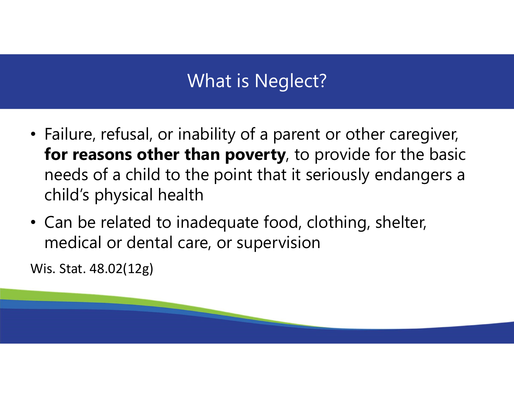# What is Neglect?

- Failure, refusal, or inability of a parent or other caregiver, for reasons other than poverty, to provide for the basic needs of a child to the point that it seriously endangers a child's physical health
- Can be related to inadequate food, clothing, shelter, medical or dental care, or supervision

Wis. Stat. 48.02(12g)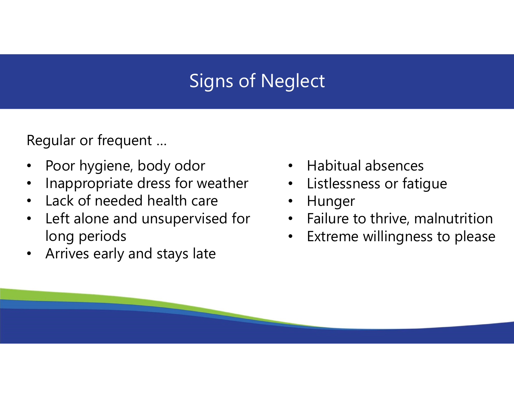# Signs of Neglect

Regular or frequent …

- Poor hygiene, body odor
- Inappropriate dress for weather
- Lack of needed health care  $\cdot$
- Left alone and unsupervised for long periods
- Arrives early and stays late
- Habitual absences
- Listlessness or fatigue
- Hunger
- Failure to thrive, malnutrition
- Extreme willingness to please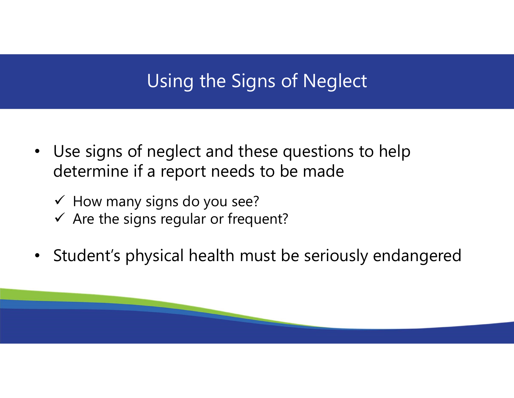# Using the Signs of Neglect

- Use signs of neglect and these questions to help determine if a report needs to be made
	- $\checkmark$  How many signs do you see?
	- $\checkmark$  Are the signs regular or frequent?
- Student's physical health must be seriously endangered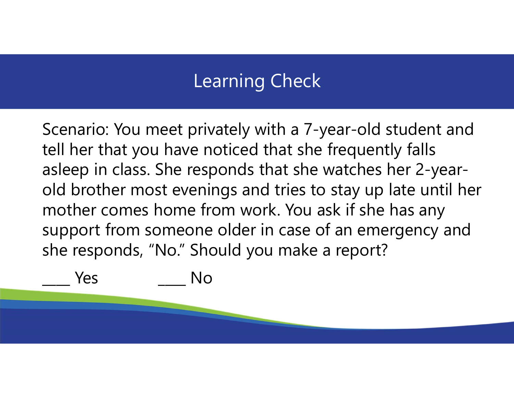#### Learning Check

Scenario: You meet privately with a 7-year-old student and tell her that you have noticed that she frequently falls asleep in class. She responds that she watches her 2-yearold brother most evenings and tries to stay up late until her mother comes home from work. You ask if she has any support from someone older in case of an emergency and she responds, "No." Should you make a report? Scenario: You meet privately with a 7-year-ol<br>tell her that you have noticed that she freque<br>asleep in class. She responds that she watche<br>old brother most evenings and tries to stay u<br>mother comes home from work. You ask

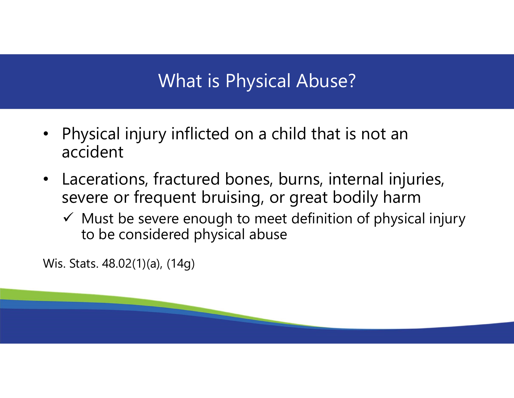# What is Physical Abuse?

- Physical injury inflicted on a child that is not an accident
- Lacerations, fractured bones, burns, internal injuries, severe or frequent bruising, or great bodily harm
	- $\checkmark$  Must be severe enough to meet definition of physical injury to be considered physical abuse

Wis. Stats. 48.02(1)(a), (14g)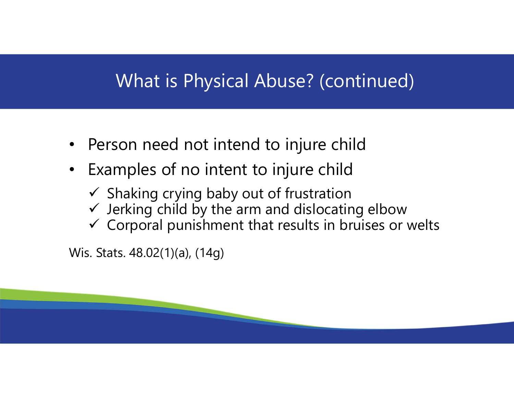#### What is Physical Abuse? (continued)

- Person need not intend to injure child
- Examples of no intent to injure child
	- $\checkmark$  Shaking crying baby out of frustration
	- $\checkmark$  Jerking child by the arm and dislocating elbow
	- $\checkmark$  Corporal punishment that results in bruises or welts

Wis. Stats. 48.02(1)(a), (14g)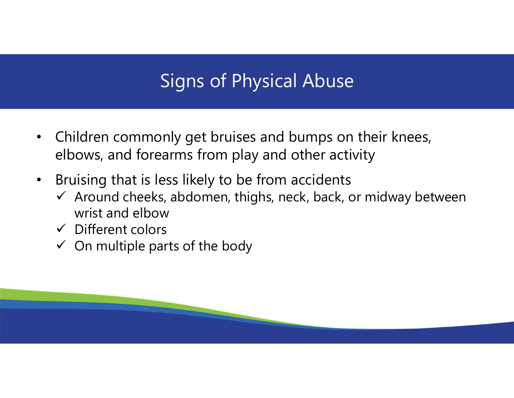# Signs of Physical Abuse

- Children commonly get bruises and bumps on their knees, elbows, and forearms from play and other activity
- Bruising that is less likely to be from accidents
	- $\checkmark$  Around cheeks, abdomen, thighs, neck, back, or midway between wrist and elbow
	- $\checkmark$  Different colors
	- $\checkmark$  On multiple parts of the body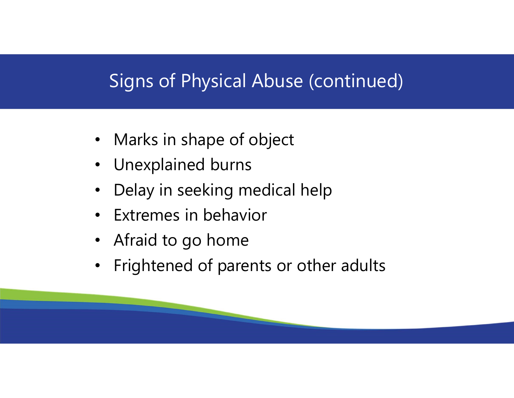# Signs of Physical Abuse (continued)

- Marks in shape of object
- Unexplained burns
- Delay in seeking medical help
- Extremes in behavior
- Afraid to go home
- Frightened of parents or other adults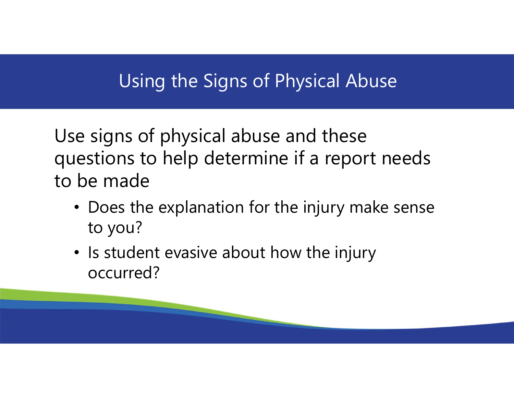## Using the Signs of Physical Abuse

Use signs of physical abuse and these questions to help determine if a report needs to be made

- Does the explanation for the injury make sense to you?
- Is student evasive about how the injury occurred?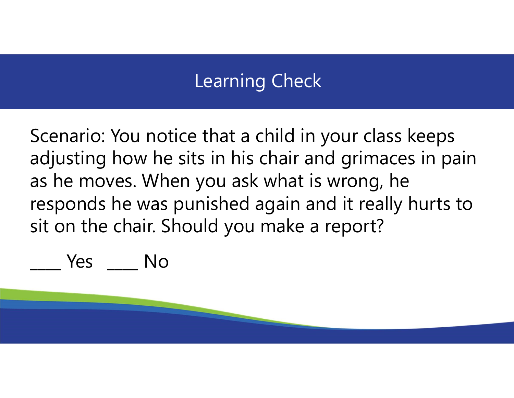## Learning Check

Scenario: You notice that a child in your class keeps adjusting how he sits in his chair and grimaces in pain as he moves. When you ask what is wrong, he responds he was punished again and it really hurts to sit on the chair. Should you make a report? Scenario: You notice that a child in<br>adjusting how he sits in his chair ar<br>as he moves. When you ask what is<br>responds he was punished again ar<br>sit on the chair. Should you make a<br><u>sit on the chair.</u> Should you make a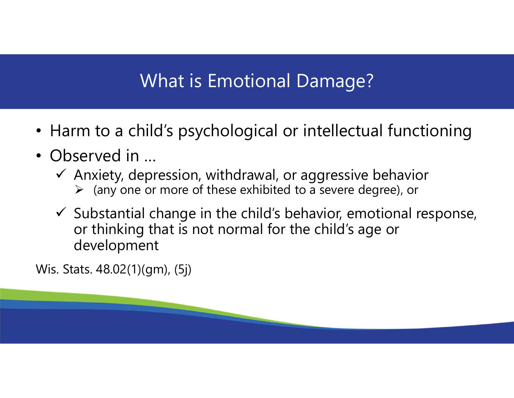## What is Emotional Damage?

- Harm to a child's psychological or intellectual functioning
- Observed in ...
	- $\checkmark$  Anxiety, depression, withdrawal, or aggressive behavior
		- $\triangleright$  (any one or more of these exhibited to a severe degree), or
	- $\checkmark$  Substantial change in the child's behavior, emotional response, or thinking that is not normal for the child's age or development

Wis. Stats. 48.02(1)(gm), (5j)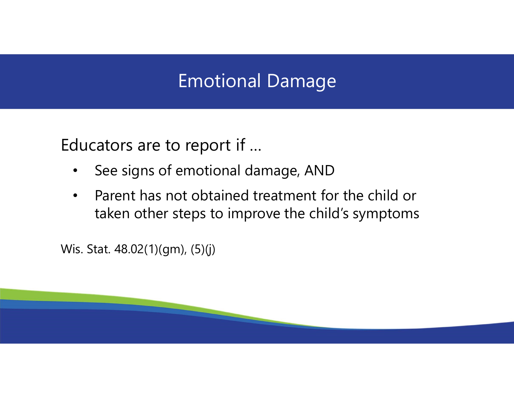#### Emotional Damage

Educators are to report if …

- See signs of emotional damage, AND
- Parent has not obtained treatment for the child or taken other steps to improve the child's symptoms

Wis. Stat. 48.02(1)(gm), (5)(j)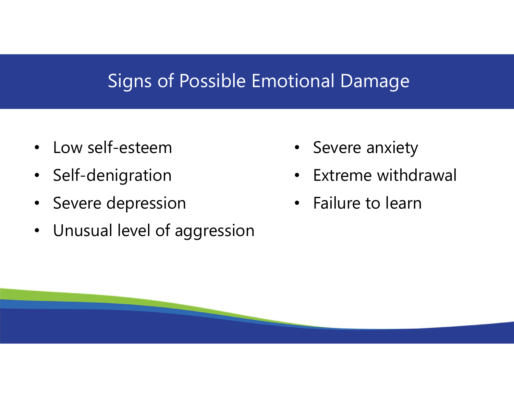#### Signs of Possible Emotional Damage

- Low self-esteem
- Self-denigration
- Severe depression
- Unusual level of aggression
- Severe anxiety
- Extreme withdrawal
- Failure to learn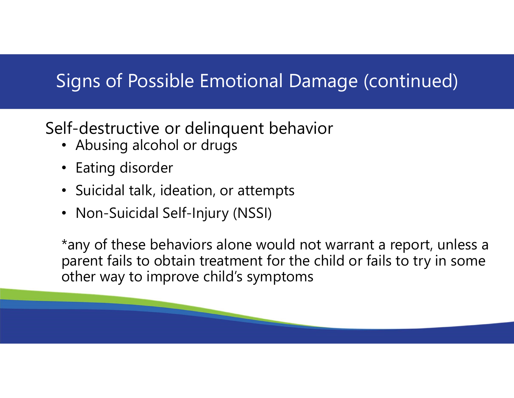# Signs of Possible Emotional Damage (continued)

#### Self-destructive or delinquent behavior

- Abusing alcohol or drugs
- Eating disorder
- Suicidal talk, ideation, or attempts
- Non-Suicidal Self-Injury (NSSI)

\*any of these behaviors alone would not warrant a report, unless a parent fails to obtain treatment for the child or fails to try in some other way to improve child's symptoms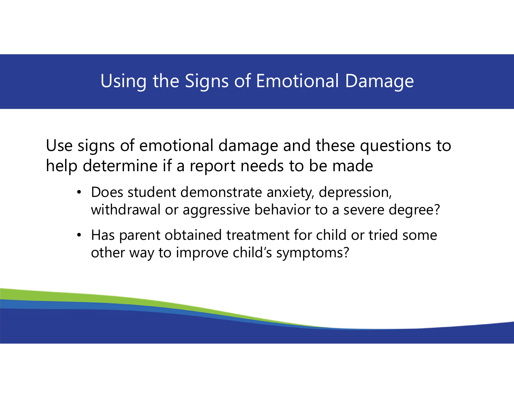#### Using the Signs of Emotional Damage

Use signs of emotional damage and these questions to help determine if a report needs to be made

- Does student demonstrate anxiety, depression, withdrawal or aggressive behavior to a severe degree?
- Has parent obtained treatment for child or tried some other way to improve child's symptoms?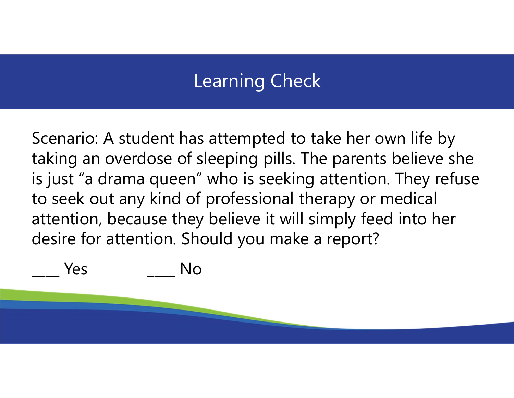## Learning Check

Scenario: A student has attempted to take her own life by taking an overdose of sleeping pills. The parents believe she is just "a drama queen" who is seeking attention. They refuse to seek out any kind of professional therapy or medical attention, because they believe it will simply feed into her desire for attention. Should you make a report? Scenario: A student has attempted to take he<br>taking an overdose of sleeping pills. The pare<br>is just "a drama queen" who is seeking attent<br>to seek out any kind of professional therapy<br>attention, because they believe it will

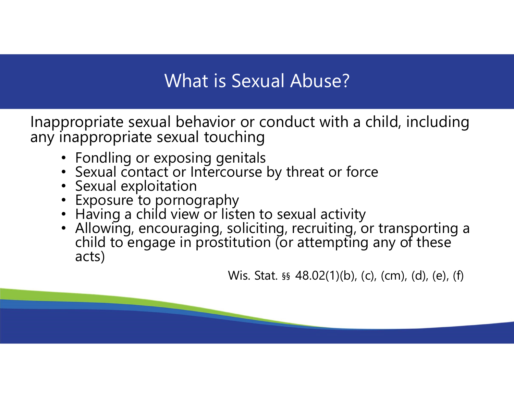## What is Sexual Abuse?

Inappropriate sexual behavior or conduct with a child, including any inappropriate sexual touching

- Fondling or exposing genitals
- Sexual contact or Intercourse by threat or force
- Sexual exploitation
- Exposure to pornography
- Having a child view or listen to sexual activity
- Allowing, encouraging, soliciting, recruiting, or transporting a child to engage in prostitution (or attempting any of these acts)

Wis. Stat. §§ 48.02(1)(b), (c), (cm), (d), (e), (f)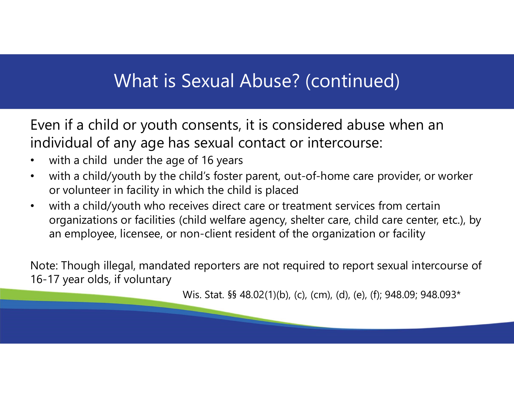#### What is Sexual Abuse? (continued)

Even if a child or youth consents, it is considered abuse when an individual of any age has sexual contact or intercourse:

- with a child under the age of 16 years
- with a child/youth by the child's foster parent, out-of-home care provider, or worker or volunteer in facility in which the child is placed
- with a child/youth who receives direct care or treatment services from certain organizations or facilities (child welfare agency, shelter care, child care center, etc.), by an employee, licensee, or non-client resident of the organization or facility Examples of 16 years, it is considered abuse when an<br>is sexual contact or intercourse:<br>e of 16 years<br>thild's foster parent, out-of-home care provider, or work<br>hich the child is placed<br>eives direct care or treatment service

Note: Though illegal, mandated reporters are not required to report sexual intercourse of 16-17 year olds, if voluntary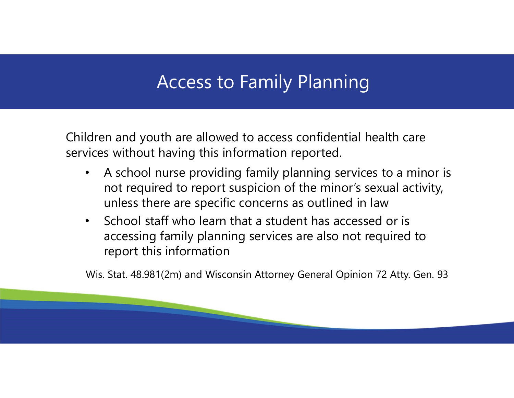## Access to Family Planning

Children and youth are allowed to access confidential health care services without having this information reported.

- A school nurse providing family planning services to a minor is not required to report suspicion of the minor's sexual activity, unless there are specific concerns as outlined in law
- School staff who learn that a student has accessed or is accessing family planning services are also not required to report this information

Wis. Stat. 48.981(2m) and Wisconsin Attorney General Opinion 72 Atty. Gen. 93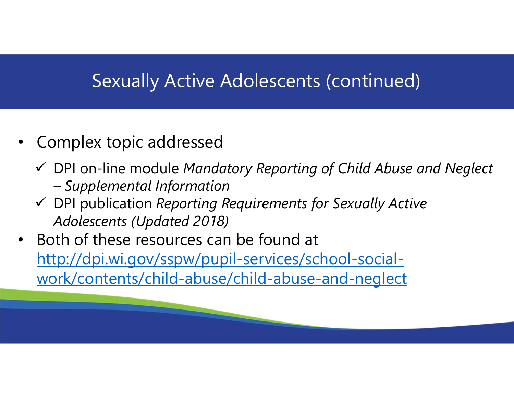#### Sexually Active Adolescents (continued)

- Complex topic addressed
	- $\checkmark$  DPI on-line module Mandatory Reporting of Child Abuse and Neglect
- Sexually Active Adolescents (complex topic addressed<br>PPI on-line module Mandatory Reporting of<br>The Supplemental Information<br>PPI publication Reporting Requirements for Stadolescents (Updated 2018)  $\checkmark$  DPI publication Reporting Requirements for Sexually Active Adolescents (Updated 2018)
- Both of these resources can be found at http://dpi.wi.gov/sspw/pupil-services/school-socialwork/contents/child-abuse/child-abuse-and-neglect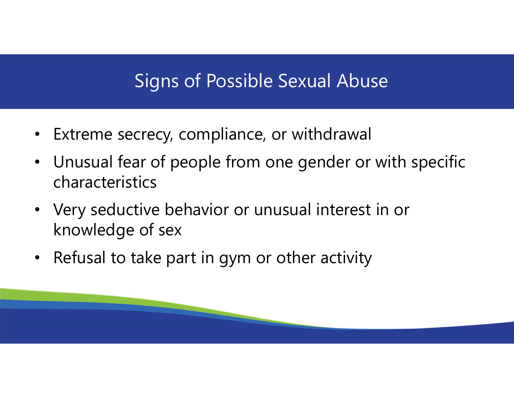#### Signs of Possible Sexual Abuse

- Extreme secrecy, compliance, or withdrawal
- Unusual fear of people from one gender or with specific characteristics
- Very seductive behavior or unusual interest in or knowledge of sex
- Refusal to take part in gym or other activity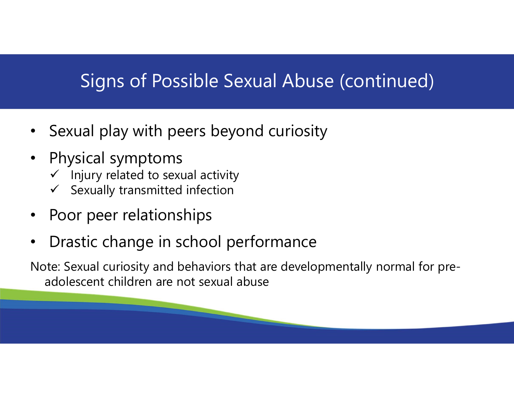## Signs of Possible Sexual Abuse (continued)

- Sexual play with peers beyond curiosity
- Physical symptoms
	- $\checkmark$  Injury related to sexual activity
	- $\checkmark$  Sexually transmitted infection
- Poor peer relationships
- Drastic change in school performance

Note: Sexual curiosity and behaviors that are developmentally normal for preadolescent children are not sexual abuse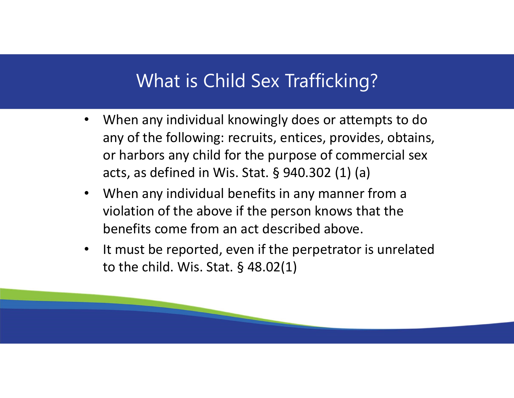#### What is Child Sex Trafficking?

- When any individual knowingly does or attempts to do any of the following: recruits, entices, provides, obtains, or harbors any child for the purpose of commercial sex What is Child Sex Trafficking?<br>When any individual knowingly does or attempts to do<br>any of the following: recruits, entices, provides, obtains,<br>or harbors any child for the purpose of commercial sex<br>acts, as defined in Wis When any individual knowingly does or attempts to do<br>any of the following: recruits, entices, provides, obtains,<br>or harbors any child for the purpose of commercial sex<br>acts, as defined in Wis. Stat. § 940.302 (1) (a)<br>When
- When any individual benefits in any manner from a violation of the above if the person knows that the benefits come from an act described above.
- It must be reported, even if the perpetrator is unrelated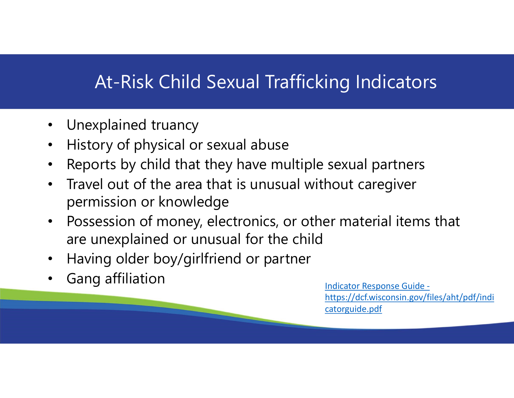## At-Risk Child Sexual Trafficking Indicators

- Unexplained truancy
- History of physical or sexual abuse
- Reports by child that they have multiple sexual partners
- Travel out of the area that is unusual without caregiver permission or knowledge
- Possession of money, electronics, or other material items that are unexplained or unusual for the child
- Having older boy/girlfriend or partner
- Gang affiliation **Indicator Response Guide -**

https://dcf.wisconsin.gov/files/aht/pdf/indi catorguide.pdf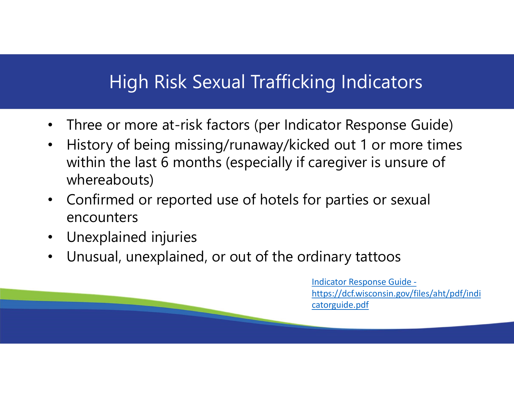## High Risk Sexual Trafficking Indicators

- Three or more at-risk factors (per Indicator Response Guide)
- History of being missing/runaway/kicked out 1 or more times within the last 6 months (especially if caregiver is unsure of whereabouts)
- Confirmed or reported use of hotels for parties or sexual encounters
- Unexplained injuries
- Unusual, unexplained, or out of the ordinary tattoos

Indicator Response Guide https://dcf.wisconsin.gov/files/aht/pdf/indi catorguide.pdf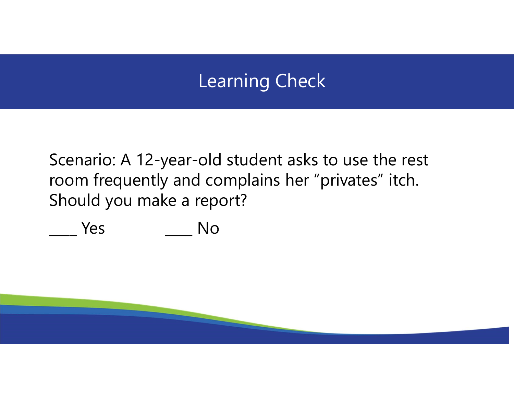## Learning Check

Scenario: A 12-year-old student asks to use the rest room frequently and complains her "privates" itch. Should you make a report? Learning Check<br>Scenario: A 12-year-old student asks to use t<br>room frequently and complains her "privates<br>Should you make a report?<br>No Mo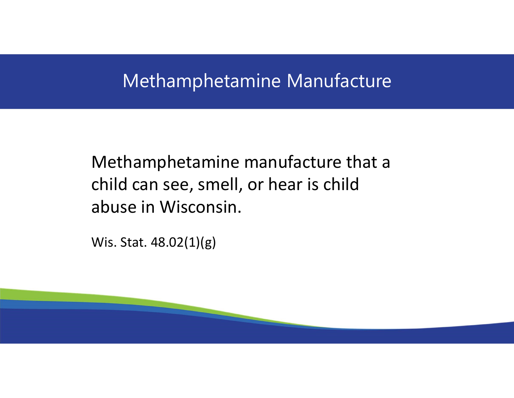#### Methamphetamine Manufacture

Methamphetamine manufacture that a child can see, smell, or hear is child abuse in Wisconsin.

Wis. Stat. 48.02(1)(g)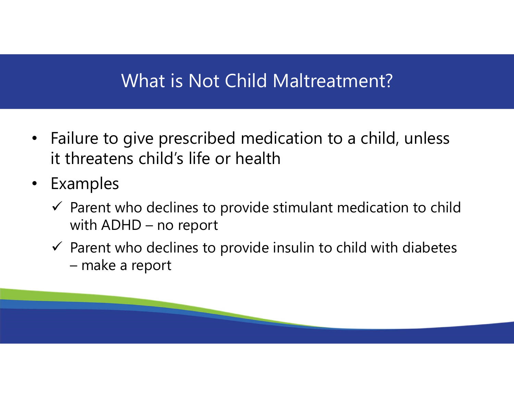## What is Not Child Maltreatment?

- Failure to give prescribed medication to a child, unless it threatens child's life or health What is Not Child Maltreatme<br>lure to give prescribed medication to a c<br>hreatens child's life or health<br>amples<br>Parent who declines to provide stimulant medi<br>with ADHD – no report<br>Parent who declines to provide insulin to ch lure to give prescribed medica<br>
hreatens child's life or health<br>
amples<br>
Parent who declines to provide stin<br>
with ADHD – no report<br>
Parent who declines to provide insu<br>
– make a report
- Examples
	- $\checkmark$  Parent who declines to provide stimulant medication to child
	- $\checkmark$  Parent who declines to provide insulin to child with diabetes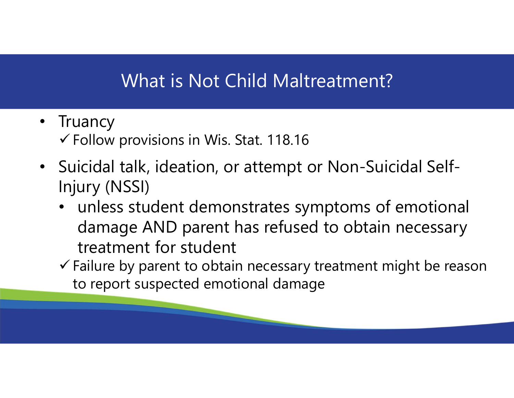## What is Not Child Maltreatment?

- Truancy  $\checkmark$  Follow provisions in Wis. Stat. 118.16
- Suicidal talk, ideation, or attempt or Non-Suicidal Self-Injury (NSSI)
	- unless student demonstrates symptoms of emotional damage AND parent has refused to obtain necessary treatment for student
	- $\checkmark$  Failure by parent to obtain necessary treatment might be reason to report suspected emotional damage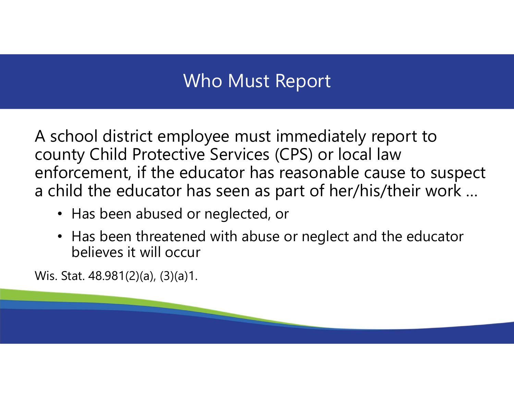## Who Must Report

A school district employee must immediately report to county Child Protective Services (CPS) or local law enforcement, if the educator has reasonable cause to suspect a child the educator has seen as part of her/his/their work …

- Has been abused or neglected, or
- Has been threatened with abuse or neglect and the educator believes it will occur

Wis. Stat. 48.981(2)(a), (3)(a)1.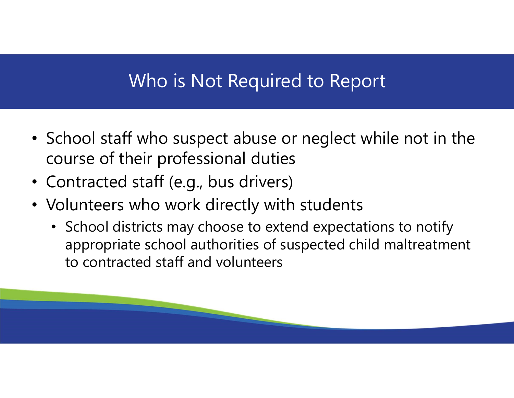#### Who is Not Required to Report

- School staff who suspect abuse or neglect while not in the course of their professional duties
- Contracted staff (e.g., bus drivers)
- Volunteers who work directly with students
	- School districts may choose to extend expectations to notify appropriate school authorities of suspected child maltreatment to contracted staff and volunteers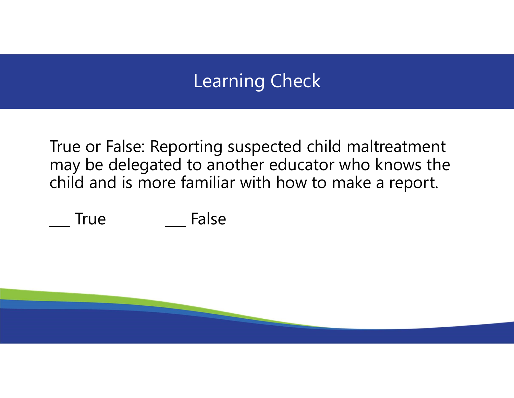## Learning Check

True or False: Reporting suspected child maltreatment may be delegated to another educator who knows the child and is more familiar with how to make a report. Learning Check<br>True or False: Reporting suspected child malt<br>may be delegated to another educator who I<br>child and is more familiar with how to make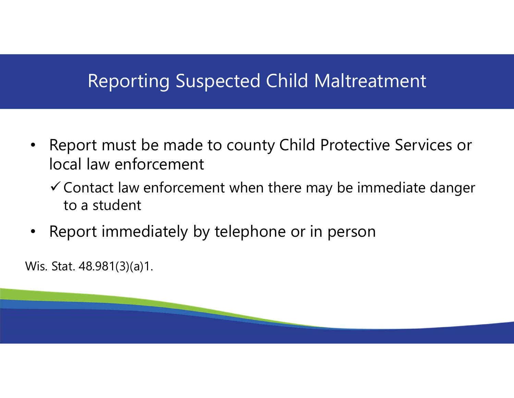#### Reporting Suspected Child Maltreatment

- Report must be made to county Child Protective Services or local law enforcement
	- $\checkmark$  Contact law enforcement when there may be immediate danger to a student
- Report immediately by telephone or in person

Wis. Stat. 48.981(3)(a)1.

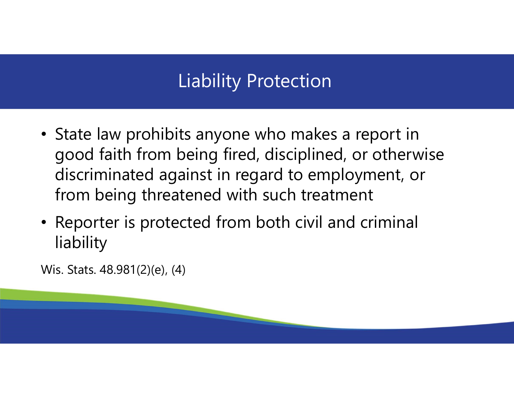# Liability Protection

- State law prohibits anyone who makes a report in good faith from being fired, disciplined, or otherwise discriminated against in regard to employment, or from being threatened with such treatment
- Reporter is protected from both civil and criminal liability

Wis. Stats. 48.981(2)(e), (4)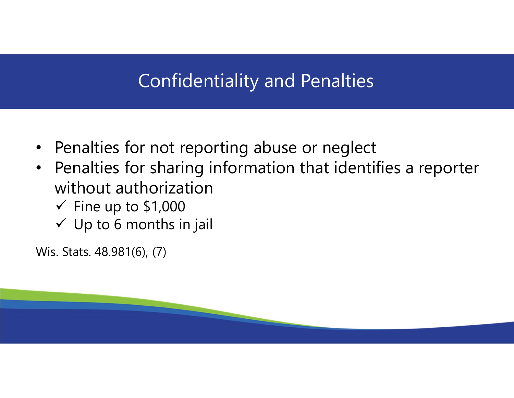## Confidentiality and Penalties

- Penalties for not reporting abuse or neglect
- Penalties for sharing information that identifies a reporter without authorization
	- $\checkmark$  Fine up to \$1,000
	- $\checkmark$  Up to 6 months in jail

Wis. Stats. 48.981(6), (7)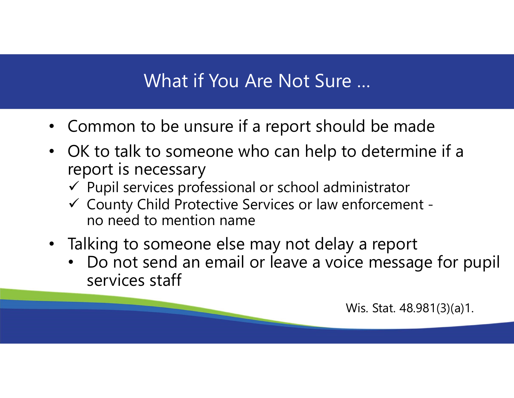## What if You Are Not Sure …

- Common to be unsure if a report should be made
- OK to talk to someone who can help to determine if a report is necessary
	- $\checkmark$  Pupil services professional or school administrator
	- County Child Protective Services or law enforcement no need to mention name
- Talking to someone else may not delay a report
	- Do not send an email or leave a voice message for pupil services staff

Wis. Stat. 48.981(3)(a)1.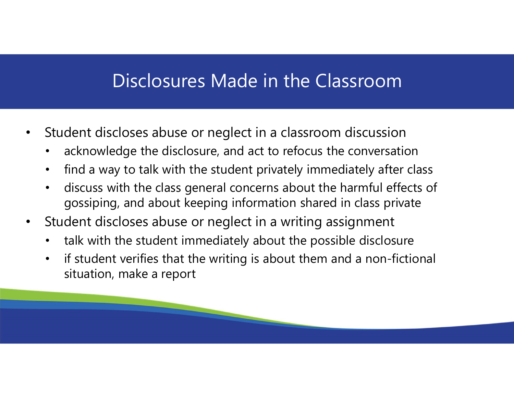#### Disclosures Made in the Classroom

- Student discloses abuse or neglect in a classroom discussion
	- acknowledge the disclosure, and act to refocus the conversation
	- find a way to talk with the student privately immediately after class
	- discuss with the class general concerns about the harmful effects of gossiping, and about keeping information shared in class private
- Student discloses abuse or neglect in a writing assignment
	- talk with the student immediately about the possible disclosure
	- if student verifies that the writing is about them and a non-fictional situation, make a report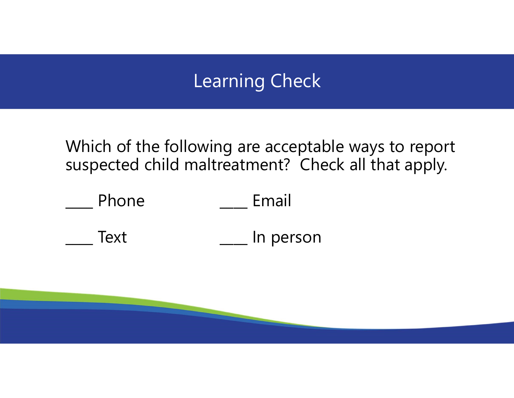## Learning Check

Which of the following are acceptable ways to report suspected child maltreatment? Check all that apply.

|             | <b>Learning Check</b>                                                                                 |  |
|-------------|-------------------------------------------------------------------------------------------------------|--|
|             | Which of the following are acceptable ways to rep<br>suspected child maltreatment? Check all that app |  |
| Phone       | Email                                                                                                 |  |
| <b>Text</b> | In person                                                                                             |  |
|             |                                                                                                       |  |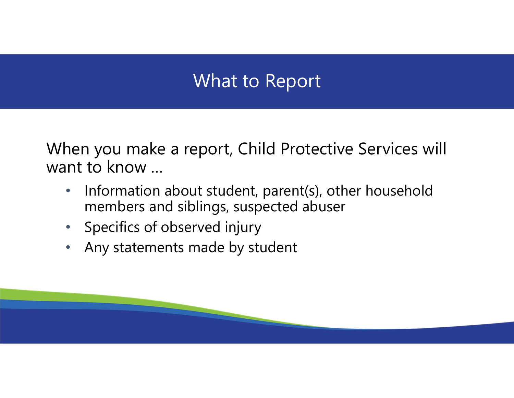#### What to Report

When you make a report, Child Protective Services will want to know …

- Information about student, parent(s), other household members and siblings, suspected abuser
- Specifics of observed injury
- Any statements made by student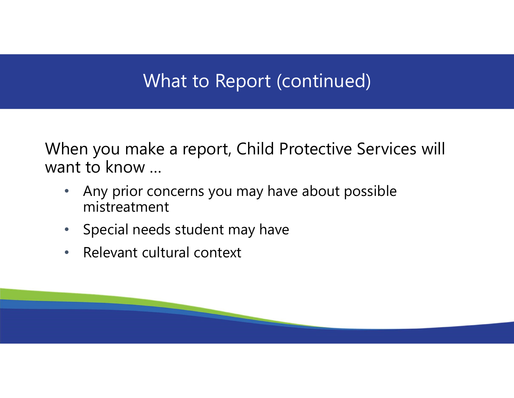## What to Report (continued)

When you make a report, Child Protective Services will want to know …

- Any prior concerns you may have about possible mistreatment
- Special needs student may have
- Relevant cultural context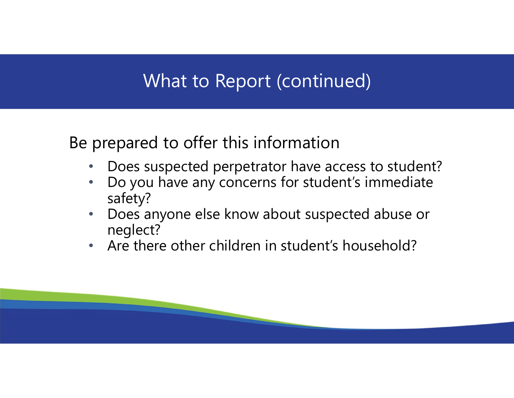## What to Report (continued)

Be prepared to offer this information

- Does suspected perpetrator have access to student?
- Do you have any concerns for student's immediate safety?
- Does anyone else know about suspected abuse or neglect?
- Are there other children in student's household?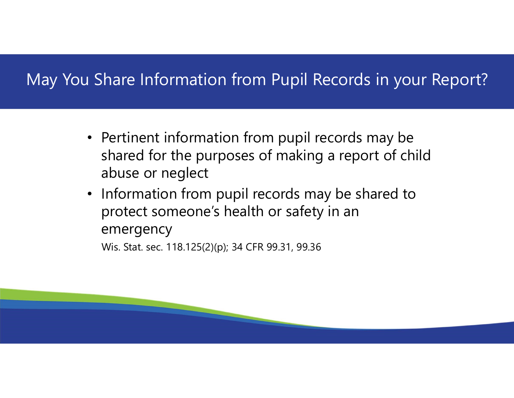#### May You Share Information from Pupil Records in your Report?

- Pertinent information from pupil records may be shared for the purposes of making a report of child abuse or neglect
- Information from pupil records may be shared to protect someone's health or safety in an emergency

Wis. Stat. sec. 118.125(2)(p); 34 CFR 99.31, 99.36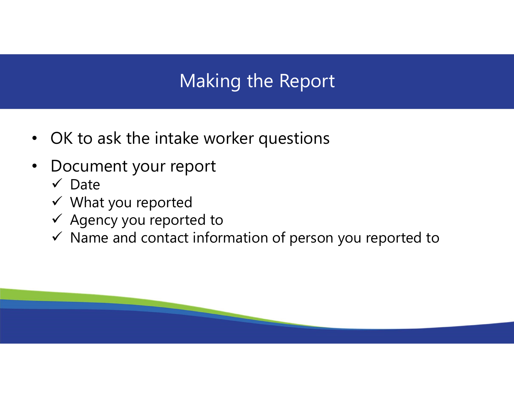# Making the Report

- OK to ask the intake worker questions
- Document your report
	- $\checkmark$  Date
	- What you reported
	- $\checkmark$  Agency you reported to
	- $\checkmark$  Name and contact information of person you reported to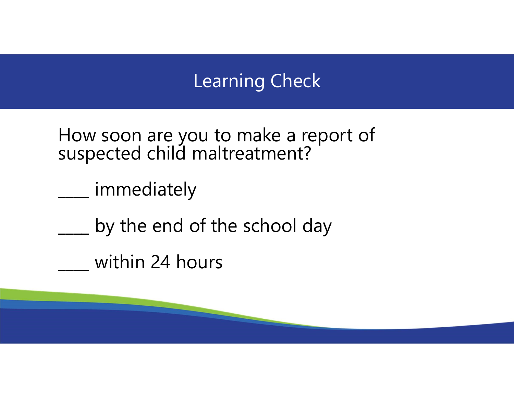# Learning Check

How soon are you to make a report of suspected child maltreatment?

immediately

by the end of the school day

\_\_\_\_ within 24 hours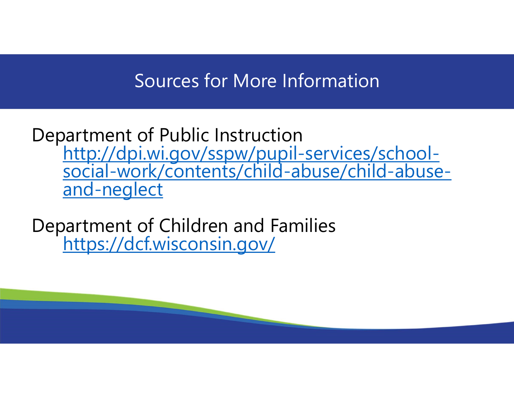#### Sources for More Information

Department of Public Instruction http://dpi.wi.gov/sspw/pupil-services/school- social-work/contents/child-abuse/child-abuseand-neglect

Department of Children and Families<br>https://dcf.wisconsin.gov/